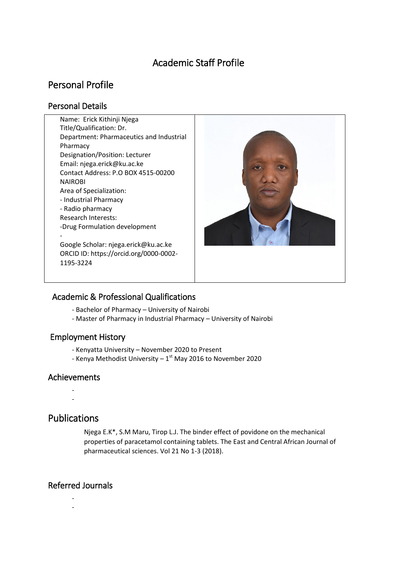# Academic Staff Profile

# Personal Profile

## Personal Details

Name: Erick Kithinji Njega Title/Qualification: Dr. Department: Pharmaceutics and Industrial Pharmacy Designation/Position: Lecturer Email: njega.erick@ku.ac.ke Contact Address: P.O BOX 4515-00200 NAIROBI Area of Specialization: - Industrial Pharmacy - Radio pharmacy Research Interests: -Drug Formulation development - Google Scholar: njega.erick@ku.ac.ke ORCID ID: https://orcid.org/0000-0002- 1195-3224



## Academic & Professional Qualifications

- Bachelor of Pharmacy University of Nairobi
- Master of Pharmacy in Industrial Pharmacy University of Nairobi

### Employment History

- Kenyatta University November 2020 to Present
- Kenya Methodist University  $1<sup>st</sup>$  May 2016 to November 2020

### Achievements

- -
- -

## Publications

Njega E.K\*, S.M Maru, Tirop L.J. The binder effect of povidone on the mechanical properties of paracetamol containing tablets. The East and Central African Journal of pharmaceutical sciences. Vol 21 No 1-3 (2018).

## Referred Journals

- -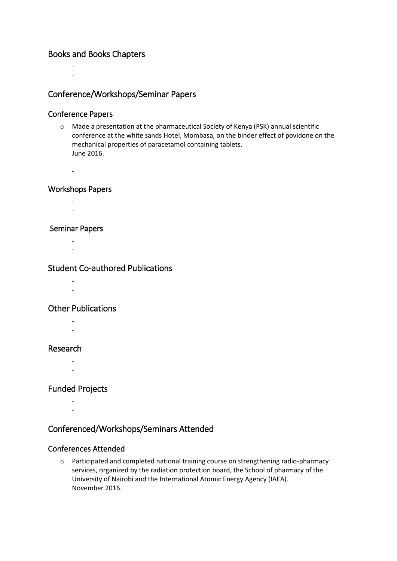### Books and Books Chapters

## Conference/Workshops/Seminar Papers

#### Conference Papers

- -

o Made a presentation at the pharmaceutical Society of Kenya (PSK) annual scientific conference at the white sands Hotel, Mombasa, on the binder effect of povidone on the mechanical properties of paracetamol containing tablets. June 2016.

#### Workshops Papers

-

- -
- -

#### Seminar Papers

- -
- -

### Student Co-authored Publications

- -
- Other Publications
	- -
	-
- Research
	- -
	- -

### Funded Projects

- -

## Conferenced/Workshops/Seminars Attended

#### Conferences Attended

o Participated and completed national training course on strengthening radio-pharmacy services, organized by the radiation protection board, the School of pharmacy of the University of Nairobi and the International Atomic Energy Agency (IAEA). November 2016.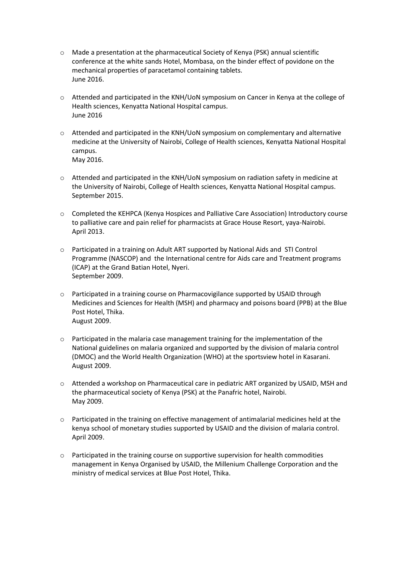- o Made a presentation at the pharmaceutical Society of Kenya (PSK) annual scientific conference at the white sands Hotel, Mombasa, on the binder effect of povidone on the mechanical properties of paracetamol containing tablets. June 2016.
- o Attended and participated in the KNH/UoN symposium on Cancer in Kenya at the college of Health sciences, Kenyatta National Hospital campus. June 2016
- o Attended and participated in the KNH/UoN symposium on complementary and alternative medicine at the University of Nairobi, College of Health sciences, Kenyatta National Hospital campus. May 2016.
- o Attended and participated in the KNH/UoN symposium on radiation safety in medicine at the University of Nairobi, College of Health sciences, Kenyatta National Hospital campus. September 2015.
- o Completed the KEHPCA (Kenya Hospices and Palliative Care Association) Introductory course to palliative care and pain relief for pharmacists at Grace House Resort, yaya-Nairobi. April 2013.
- o Participated in a training on Adult ART supported by National Aids and STI Control Programme (NASCOP) and the International centre for Aids care and Treatment programs (ICAP) at the Grand Batian Hotel, Nyeri. September 2009.
- o Participated in a training course on Pharmacovigilance supported by USAID through Medicines and Sciences for Health (MSH) and pharmacy and poisons board (PPB) at the Blue Post Hotel, Thika. August 2009.
- $\circ$  Participated in the malaria case management training for the implementation of the National guidelines on malaria organized and supported by the division of malaria control (DMOC) and the World Health Organization (WHO) at the sportsview hotel in Kasarani. August 2009.
- o Attended a workshop on Pharmaceutical care in pediatric ART organized by USAID, MSH and the pharmaceutical society of Kenya (PSK) at the Panafric hotel, Nairobi. May 2009.
- $\circ$  Participated in the training on effective management of antimalarial medicines held at the kenya school of monetary studies supported by USAID and the division of malaria control. April 2009.
- $\circ$  Participated in the training course on supportive supervision for health commodities management in Kenya Organised by USAID, the Millenium Challenge Corporation and the ministry of medical services at Blue Post Hotel, Thika.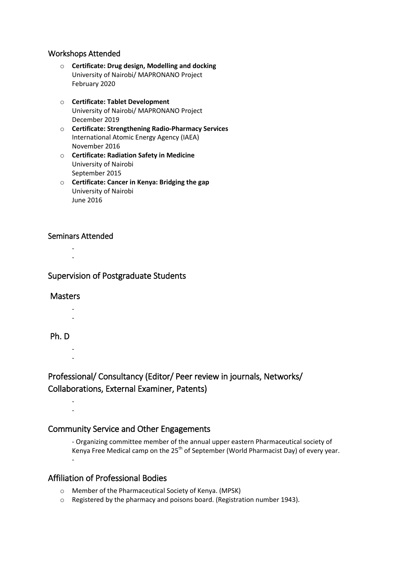#### Workshops Attended

- o **Certificate: Drug design, Modelling and docking** University of Nairobi/ MAPRONANO Project February 2020
- o **Certificate: Tablet Development** University of Nairobi/ MAPRONANO Project December 2019
- o **Certificate: Strengthening Radio-Pharmacy Services** International Atomic Energy Agency (IAEA) November 2016
- o **Certificate: Radiation Safety in Medicine** University of Nairobi September 2015
- o **Certificate: Cancer in Kenya: Bridging the gap** University of Nairobi June 2016

#### Seminars Attended

- -

### Supervision of Postgraduate Students

#### **Masters**

- -

#### Ph. D

- -

## Professional/ Consultancy (Editor/ Peer review in journals, Networks/ Collaborations, External Examiner, Patents)

- -

## Community Service and Other Engagements

- Organizing committee member of the annual upper eastern Pharmaceutical society of Kenya Free Medical camp on the  $25<sup>th</sup>$  of September (World Pharmacist Day) of every year. -

## Affiliation of Professional Bodies

- o Member of the Pharmaceutical Society of Kenya. (MPSK)
- o Registered by the pharmacy and poisons board. (Registration number 1943).